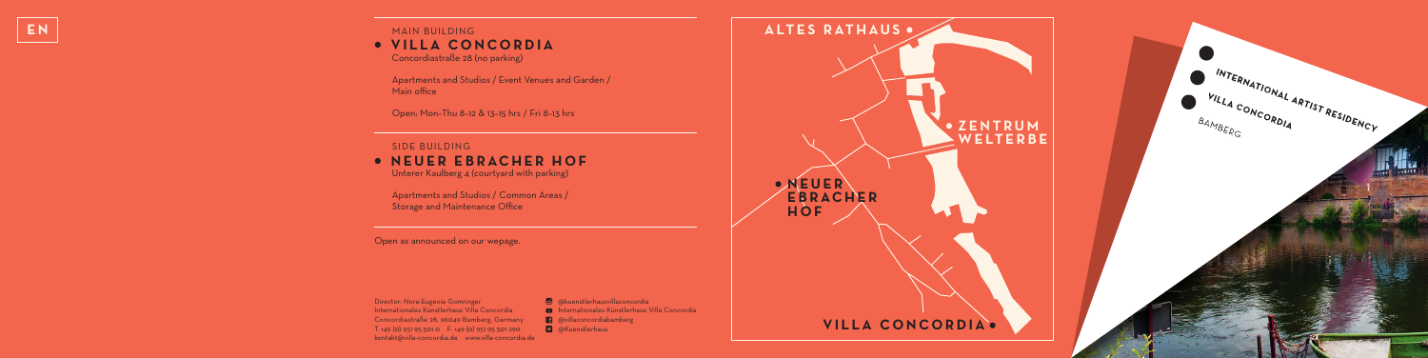## **EN EN** *MAIN BUILDING* ● **VILLA CONCORDIA**      Concordiastraße 28 (no parking)

     Apartments and Studios / Event Venues and Garden / Main office

     Open: Mon–Thu 8–12 & 13–15 hrs / Fri 8–13 hrs

## SIDE BUILDING ● **NEUER EBRACHER HOF**      Unterer Kaulberg 4 (courtyard with parking)

     Apartments and Studios / Common Areas / Storage and Maintenance Office

Open as announced on our wepage.

Director: Nora-Eugenie Gomringer Internationales Künstlerhaus Villa Concordia Concordiastraße 28, 96049 Bamberg, Germany T. +49 (0) 951 95 501 0 F. +49 (0) 951 95 501 290 kontakt@villa-concordia.de www.villa-concordia.de

**<sup>3</sup>** @kuenstlerhausvillaconcordia **D** Internationales Künstlerhaus Villa Concordia **1** @villaconcordiabamberg